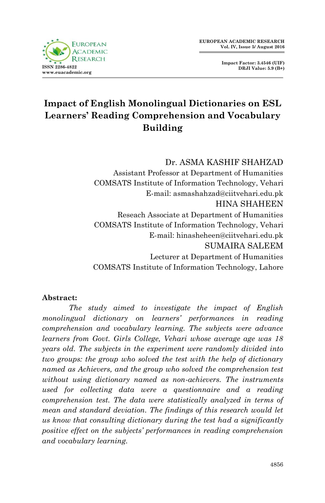**Impact Factor: 3.4546 (UIF) DRJI Value: 5.9 (B+)**



# **Impact of English Monolingual Dictionaries on ESL Learners' Reading Comprehension and Vocabulary Building**

Dr. ASMA KASHIF SHAHZAD

Assistant Professor at Department of Humanities COMSATS Institute of Information Technology, Vehari E-mail: asmashahzad@ciitvehari.edu.pk HINA SHAHEEN Reseach Associate at Department of Humanities COMSATS Institute of Information Technology, Vehari E-mail: hinasheheen@ciitvehari.edu.pk SUMAIRA SALEEM Lecturer at Department of Humanities COMSATS Institute of Information Technology, Lahore

#### **Abstract:**

 *The study aimed to investigate the impact of English monolingual dictionary on learners' performances in reading comprehension and vocabulary learning. The subjects were advance learners from Govt. Girls College, Vehari whose average age was 18 years old. The subjects in the experiment were randomly divided into two groups: the group who solved the test with the help of dictionary named as Achievers, and the group who solved the comprehension test without using dictionary named as non-achievers. The instruments used for collecting data were a questionnaire and a reading comprehension test. The data were statistically analyzed in terms of mean and standard deviation. The findings of this research would let us know that consulting dictionary during the test had a significantly positive effect on the subjects' performances in reading comprehension and vocabulary learning.*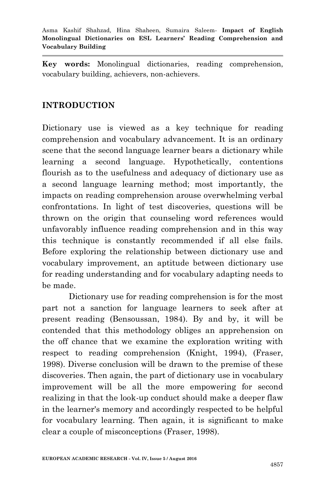**Key words:** Monolingual dictionaries, reading comprehension, vocabulary building, achievers, non-achievers.

## **INTRODUCTION**

Dictionary use is viewed as a key technique for reading comprehension and vocabulary advancement. It is an ordinary scene that the second language learner bears a dictionary while learning a second language. Hypothetically, contentions flourish as to the usefulness and adequacy of dictionary use as a second language learning method; most importantly, the impacts on reading comprehension arouse overwhelming verbal confrontations. In light of test discoveries, questions will be thrown on the origin that counseling word references would unfavorably influence reading comprehension and in this way this technique is constantly recommended if all else fails. Before exploring the relationship between dictionary use and vocabulary improvement, an aptitude between dictionary use for reading understanding and for vocabulary adapting needs to be made.

Dictionary use for reading comprehension is for the most part not a sanction for language learners to seek after at present reading (Bensoussan, 1984). By and by, it will be contended that this methodology obliges an apprehension on the off chance that we examine the exploration writing with respect to reading comprehension (Knight, 1994), (Fraser, 1998). Diverse conclusion will be drawn to the premise of these discoveries. Then again, the part of dictionary use in vocabulary improvement will be all the more empowering for second realizing in that the look-up conduct should make a deeper flaw in the learner's memory and accordingly respected to be helpful for vocabulary learning. Then again, it is significant to make clear a couple of misconceptions (Fraser, 1998).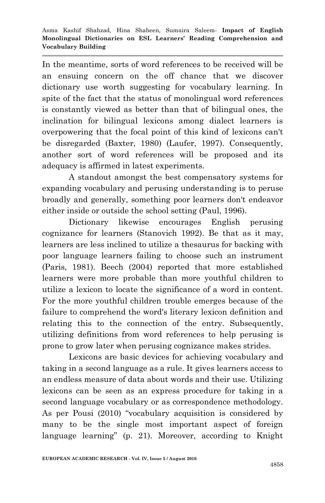In the meantime, sorts of word references to be received will be an ensuing concern on the off chance that we discover dictionary use worth suggesting for vocabulary learning. In spite of the fact that the status of monolingual word references is constantly viewed as better than that of bilingual ones, the inclination for bilingual lexicons among dialect learners is overpowering that the focal point of this kind of lexicons can't be disregarded (Baxter, 1980) (Laufer, 1997). Consequently, another sort of word references will be proposed and its adequacy is affirmed in latest experiments.

A standout amongst the best compensatory systems for expanding vocabulary and perusing understanding is to peruse broadly and generally, something poor learners don't endeavor either inside or outside the school setting (Paul, 1996).

Dictionary likewise encourages English perusing cognizance for learners (Stanovich 1992). Be that as it may, learners are less inclined to utilize a thesaurus for backing with poor language learners failing to choose such an instrument (Paris, 1981). Beech (2004) reported that more established learners were more probable than more youthful children to utilize a lexicon to locate the significance of a word in content. For the more youthful children trouble emerges because of the failure to comprehend the word's literary lexicon definition and relating this to the connection of the entry. Subsequently, utilizing definitions from word references to help perusing is prone to grow later when perusing cognizance makes strides.

Lexicons are basic devices for achieving vocabulary and taking in a second language as a rule. It gives learners access to an endless measure of data about words and their use. Utilizing lexicons can be seen as an express procedure for taking in a second language vocabulary or as correspondence methodology. As per Pousi (2010) "vocabulary acquisition is considered by many to be the single most important aspect of foreign language learning" (p. 21). Moreover, according to Knight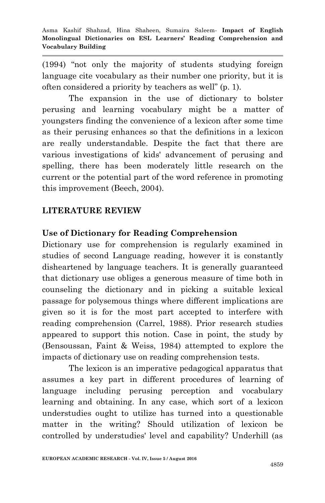(1994) "not only the majority of students studying foreign language cite vocabulary as their number one priority, but it is often considered a priority by teachers as well" (p. 1).

The expansion in the use of dictionary to bolster perusing and learning vocabulary might be a matter of youngsters finding the convenience of a lexicon after some time as their perusing enhances so that the definitions in a lexicon are really understandable. Despite the fact that there are various investigations of kids' advancement of perusing and spelling, there has been moderately little research on the current or the potential part of the word reference in promoting this improvement (Beech, 2004).

# **LITERATURE REVIEW**

#### **Use of Dictionary for Reading Comprehension**

Dictionary use for comprehension is regularly examined in studies of second Language reading, however it is constantly disheartened by language teachers. It is generally guaranteed that dictionary use obliges a generous measure of time both in counseling the dictionary and in picking a suitable lexical passage for polysemous things where different implications are given so it is for the most part accepted to interfere with reading comprehension (Carrel, 1988). Prior research studies appeared to support this notion. Case in point, the study by (Bensoussan, Faint & Weiss, 1984) attempted to explore the impacts of dictionary use on reading comprehension tests.

The lexicon is an imperative pedagogical apparatus that assumes a key part in different procedures of learning of language including perusing perception and vocabulary learning and obtaining. In any case, which sort of a lexicon understudies ought to utilize has turned into a questionable matter in the writing? Should utilization of lexicon be controlled by understudies' level and capability? Underhill (as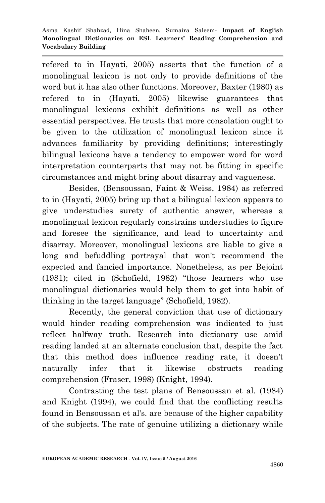refered to in Hayati, 2005) asserts that the function of a monolingual lexicon is not only to provide definitions of the word but it has also other functions. Moreover, Baxter (1980) as refered to in (Hayati, 2005) likewise guarantees that monolingual lexicons exhibit definitions as well as other essential perspectives. He trusts that more consolation ought to be given to the utilization of monolingual lexicon since it advances familiarity by providing definitions; interestingly bilingual lexicons have a tendency to empower word for word interpretation counterparts that may not be fitting in specific circumstances and might bring about disarray and vagueness.

Besides, (Bensoussan, Faint & Weiss, 1984) as referred to in (Hayati, 2005) bring up that a bilingual lexicon appears to give understudies surety of authentic answer, whereas a monolingual lexicon regularly constrains understudies to figure and foresee the significance, and lead to uncertainty and disarray. Moreover, monolingual lexicons are liable to give a long and befuddling portrayal that won't recommend the expected and fancied importance. Nonetheless, as per Bejoint (1981); cited in (Schofield, 1982) "those learners who use monolingual dictionaries would help them to get into habit of thinking in the target language" (Schofield, 1982).

Recently, the general conviction that use of dictionary would hinder reading comprehension was indicated to just reflect halfway truth. Research into dictionary use amid reading landed at an alternate conclusion that, despite the fact that this method does influence reading rate, it doesn't naturally infer that it likewise obstructs reading comprehension (Fraser, 1998) (Knight, 1994).

Contrasting the test plans of Bensoussan et al. (1984) and Knight (1994), we could find that the conflicting results found in Bensoussan et al's. are because of the higher capability of the subjects. The rate of genuine utilizing a dictionary while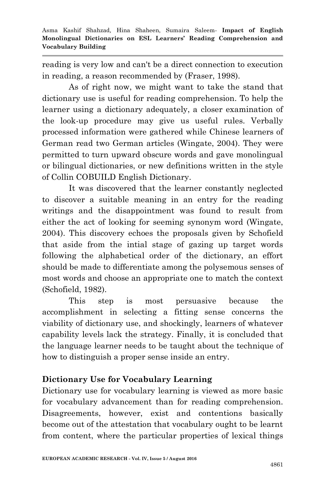reading is very low and can't be a direct connection to execution in reading, a reason recommended by (Fraser, 1998).

As of right now, we might want to take the stand that dictionary use is useful for reading comprehension. To help the learner using a dictionary adequately, a closer examination of the look-up procedure may give us useful rules. Verbally processed information were gathered while Chinese learners of German read two German articles (Wingate, 2004). They were permitted to turn upward obscure words and gave monolingual or bilingual dictionaries, or new definitions written in the style of Collin COBUILD English Dictionary.

It was discovered that the learner constantly neglected to discover a suitable meaning in an entry for the reading writings and the disappointment was found to result from either the act of looking for seeming synonym word (Wingate, 2004). This discovery echoes the proposals given by Schofield that aside from the intial stage of gazing up target words following the alphabetical order of the dictionary, an effort should be made to differentiate among the polysemous senses of most words and choose an appropriate one to match the context (Schofield, 1982).

This step is most persuasive because the accomplishment in selecting a fitting sense concerns the viability of dictionary use, and shockingly, learners of whatever capability levels lack the strategy. Finally, it is concluded that the language learner needs to be taught about the technique of how to distinguish a proper sense inside an entry.

# **Dictionary Use for Vocabulary Learning**

Dictionary use for vocabulary learning is viewed as more basic for vocabulary advancement than for reading comprehension. Disagreements, however, exist and contentions basically become out of the attestation that vocabulary ought to be learnt from content, where the particular properties of lexical things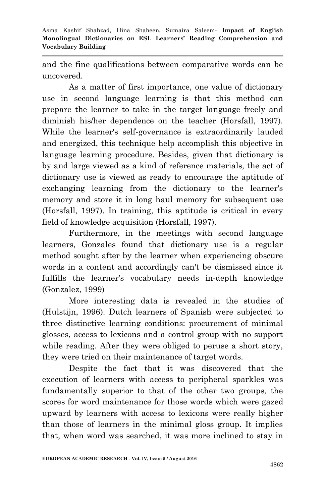and the fine qualifications between comparative words can be uncovered.

As a matter of first importance, one value of dictionary use in second language learning is that this method can prepare the learner to take in the target language freely and diminish his/her dependence on the teacher (Horsfall, 1997). While the learner's self-governance is extraordinarily lauded and energized, this technique help accomplish this objective in language learning procedure. Besides, given that dictionary is by and large viewed as a kind of reference materials, the act of dictionary use is viewed as ready to encourage the aptitude of exchanging learning from the dictionary to the learner's memory and store it in long haul memory for subsequent use (Horsfall, 1997). In training, this aptitude is critical in every field of knowledge acquisition (Horsfall, 1997).

Furthermore, in the meetings with second language learners, Gonzales found that dictionary use is a regular method sought after by the learner when experiencing obscure words in a content and accordingly can't be dismissed since it fulfills the learner's vocabulary needs in-depth knowledge (Gonzalez, 1999)

More interesting data is revealed in the studies of (Hulstijn, 1996). Dutch learners of Spanish were subjected to three distinctive learning conditions: procurement of minimal glosses, access to lexicons and a control group with no support while reading. After they were obliged to peruse a short story, they were tried on their maintenance of target words.

Despite the fact that it was discovered that the execution of learners with access to peripheral sparkles was fundamentally superior to that of the other two groups, the scores for word maintenance for those words which were gazed upward by learners with access to lexicons were really higher than those of learners in the minimal gloss group. It implies that, when word was searched, it was more inclined to stay in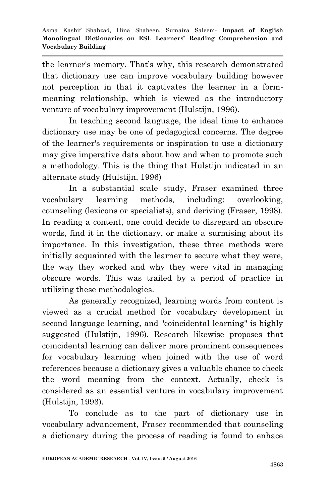the learner's memory. That's why, this research demonstrated that dictionary use can improve vocabulary building however not perception in that it captivates the learner in a formmeaning relationship, which is viewed as the introductory venture of vocabulary improvement (Hulstijn, 1996).

In teaching second language, the ideal time to enhance dictionary use may be one of pedagogical concerns. The degree of the learner's requirements or inspiration to use a dictionary may give imperative data about how and when to promote such a methodology. This is the thing that Hulstijn indicated in an alternate study (Hulstijn, 1996)

In a substantial scale study, Fraser examined three vocabulary learning methods, including: overlooking, counseling (lexicons or specialists), and deriving (Fraser, 1998). In reading a content, one could decide to disregard an obscure words, find it in the dictionary, or make a surmising about its importance. In this investigation, these three methods were initially acquainted with the learner to secure what they were, the way they worked and why they were vital in managing obscure words. This was trailed by a period of practice in utilizing these methodologies.

As generally recognized, learning words from content is viewed as a crucial method for vocabulary development in second language learning, and "coincidental learning" is highly suggested (Hulstijn, 1996). Research likewise proposes that coincidental learning can deliver more prominent consequences for vocabulary learning when joined with the use of word references because a dictionary gives a valuable chance to check the word meaning from the context. Actually, check is considered as an essential venture in vocabulary improvement (Hulstijn, 1993).

To conclude as to the part of dictionary use in vocabulary advancement, Fraser recommended that counseling a dictionary during the process of reading is found to enhace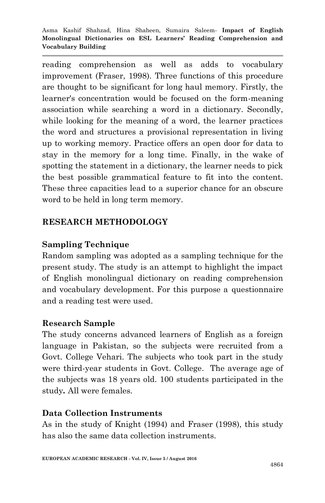reading comprehension as well as adds to vocabulary improvement (Fraser, 1998). Three functions of this procedure are thought to be significant for long haul memory. Firstly, the learner's concentration would be focused on the form-meaning association while searching a word in a dictionary. Secondly, while looking for the meaning of a word, the learner practices the word and structures a provisional representation in living up to working memory. Practice offers an open door for data to stay in the memory for a long time. Finally, in the wake of spotting the statement in a dictionary, the learner needs to pick the best possible grammatical feature to fit into the content. These three capacities lead to a superior chance for an obscure word to be held in long term memory.

# **RESEARCH METHODOLOGY**

## **Sampling Technique**

Random sampling was adopted as a sampling technique for the present study. The study is an attempt to highlight the impact of English monolingual dictionary on reading comprehension and vocabulary development. For this purpose a questionnaire and a reading test were used.

### **Research Sample**

The study concerns advanced learners of English as a foreign language in Pakistan, so the subjects were recruited from a Govt. College Vehari. The subjects who took part in the study were third-year students in Govt. College. The average age of the subjects was 18 years old. 100 students participated in the study*.* All were females.

### **Data Collection Instruments**

As in the study of Knight (1994) and Fraser (1998), this study has also the same data collection instruments*.*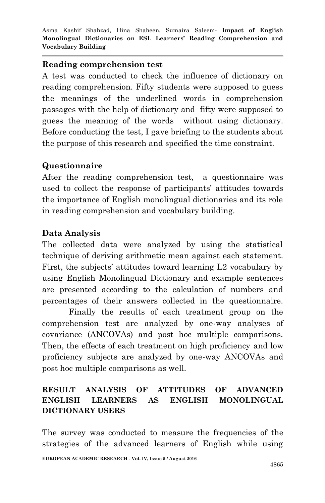#### **Reading comprehension test**

A test was conducted to check the influence of dictionary on reading comprehension. Fifty students were supposed to guess the meanings of the underlined words in comprehension passages with the help of dictionary and fifty were supposed to guess the meaning of the words without using dictionary. Before conducting the test, I gave briefing to the students about the purpose of this research and specified the time constraint.

### **Questionnaire**

After the reading comprehension test, a questionnaire was used to collect the response of participants' attitudes towards the importance of English monolingual dictionaries and its role in reading comprehension and vocabulary building.

### **Data Analysis**

The collected data were analyzed by using the statistical technique of deriving arithmetic mean against each statement. First, the subjects' attitudes toward learning L2 vocabulary by using English Monolingual Dictionary and example sentences are presented according to the calculation of numbers and percentages of their answers collected in the questionnaire.

Finally the results of each treatment group on the comprehension test are analyzed by one-way analyses of covariance (ANCOVAs) and post hoc multiple comparisons. Then, the effects of each treatment on high proficiency and low proficiency subjects are analyzed by one-way ANCOVAs and post hoc multiple comparisons as well.

## **RESULT ANALYSIS OF ATTITUDES OF ADVANCED ENGLISH LEARNERS AS ENGLISH MONOLINGUAL DICTIONARY USERS**

The survey was conducted to measure the frequencies of the strategies of the advanced learners of English while using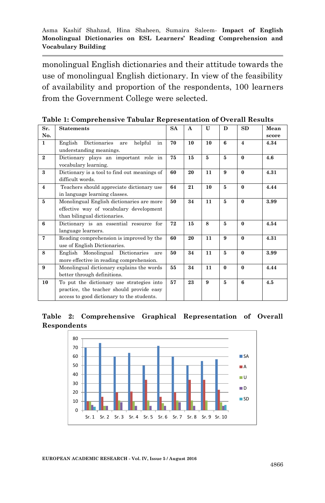monolingual English dictionaries and their attitude towards the use of monolingual English dictionary. In view of the feasibility of availability and proportion of the respondents, 100 learners from the Government College were selected.

| Sr.            | <b>Statements</b>                               | <b>SA</b> | A  | $\mathbf{U}$ | D        | SD             | Mean  |
|----------------|-------------------------------------------------|-----------|----|--------------|----------|----------------|-------|
| No.            |                                                 |           |    |              |          |                | score |
| $\mathbf{1}$   | Dictionaries<br>helpful<br>English<br>in<br>are | 70        | 10 | 10           | 6        | $\overline{4}$ | 4.34  |
|                | understanding meanings.                         |           |    |              |          |                |       |
| $\overline{2}$ | Dictionary plays an important role in           | 75        | 15 | 5            | 5        | $\mathbf{0}$   | 4.6   |
|                | vocabulary learning.                            |           |    |              |          |                |       |
| $\mathbf{a}$   | Dictionary is a tool to find out meanings of    | 60        | 20 | 11           | 9        | $\bf{0}$       | 4.31  |
|                | difficult words.                                |           |    |              |          |                |       |
| $\overline{4}$ | Teachers should appreciate dictionary use       | 64        | 21 | 10           | 5        | $\bf{0}$       | 4.44  |
|                | in language learning classes.                   |           |    |              |          |                |       |
| 5              | Monolingual English dictionaries are more       | 50        | 34 | 11           | 5        | $\mathbf{0}$   | 3.99  |
|                | effective way of vocabulary development         |           |    |              |          |                |       |
|                | than bilingual dictionaries.                    |           |    |              |          |                |       |
| 6              | Dictionary is an essential resource for         | 72        | 15 | 8            | 5        | $\bf{0}$       | 4.54  |
|                | language learners.                              |           |    |              |          |                |       |
| $\overline{7}$ | Reading comprehension is improved by the        | 60        | 20 | 11           | 9        | $\bf{0}$       | 4.31  |
|                | use of English Dictionaries.                    |           |    |              |          |                |       |
| 8              | English Monolingual Dictionaries<br>are         | 50        | 34 | 11           | 5        | $\mathbf{0}$   | 3.99  |
|                | more effective in reading comprehension.        |           |    |              |          |                |       |
| 9              | Monolingual dictionary explains the words       | 55        | 34 | 11           | $\bf{0}$ | $\bf{0}$       | 4.44  |
|                | better through definitions.                     |           |    |              |          |                |       |
| 10             | To put the dictionary use strategies into       | 57        | 23 | 9            | 5        | 6              | 4.5   |
|                | practice, the teacher should provide easy       |           |    |              |          |                |       |
|                | access to good dictionary to the students.      |           |    |              |          |                |       |

**Table 1: Comprehensive Tabular Representation of Overall Results**

**Table 2: Comprehensive Graphical Representation of Overall Respondents**

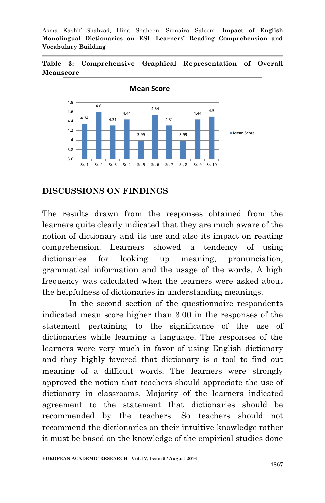**Table 3: Comprehensive Graphical Representation of Overall Meanscore**



### **DISCUSSIONS ON FINDINGS**

The results drawn from the responses obtained from the learners quite clearly indicated that they are much aware of the notion of dictionary and its use and also its impact on reading comprehension. Learners showed a tendency of using dictionaries for looking up meaning, pronunciation, grammatical information and the usage of the words. A high frequency was calculated when the learners were asked about the helpfulness of dictionaries in understanding meanings.

In the second section of the questionnaire respondents indicated mean score higher than 3.00 in the responses of the statement pertaining to the significance of the use of dictionaries while learning a language. The responses of the learners were very much in favor of using English dictionary and they highly favored that dictionary is a tool to find out meaning of a difficult words. The learners were strongly approved the notion that teachers should appreciate the use of dictionary in classrooms. Majority of the learners indicated agreement to the statement that dictionaries should be recommended by the teachers. So teachers should not recommend the dictionaries on their intuitive knowledge rather it must be based on the knowledge of the empirical studies done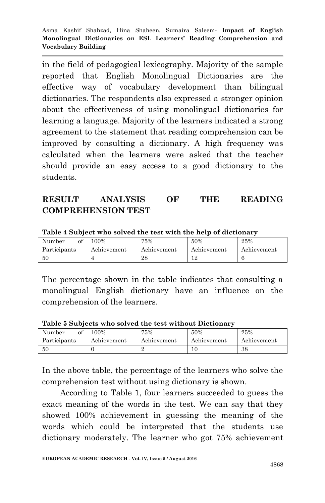in the field of pedagogical lexicography. Majority of the sample reported that English Monolingual Dictionaries are the effective way of vocabulary development than bilingual dictionaries. The respondents also expressed a stronger opinion about the effectiveness of using monolingual dictionaries for learning a language. Majority of the learners indicated a strong agreement to the statement that reading comprehension can be improved by consulting a dictionary. A high frequency was calculated when the learners were asked that the teacher should provide an easy access to a good dictionary to the students.

## **RESULT ANALYSIS OF THE READING COMPREHENSION TEST**

| of<br>Number | 100%        | 75%         | 50%         | 25%         |
|--------------|-------------|-------------|-------------|-------------|
| Participants | Achievement | Achievement | Achievement | Achievement |
| -50          |             | 28          |             |             |

**Table 4 Subject who solved the test with the help of dictionary**

The percentage shown in the table indicates that consulting a monolingual English dictionary have an influence on the comprehension of the learners.

| Table 5 Subjects who solved the test without Dictionary |             |             |             |             |  |  |  |  |  |
|---------------------------------------------------------|-------------|-------------|-------------|-------------|--|--|--|--|--|
| of<br>Number                                            | 100%        | 75%         | 50%         | 25%         |  |  |  |  |  |
| Participants                                            | Achievement | Achievement | Achievement | Achievement |  |  |  |  |  |
| -50                                                     |             |             | 10          | 38          |  |  |  |  |  |

**Table 5 Subjects who solved the test without Dictionary**

In the above table, the percentage of the learners who solve the comprehension test without using dictionary is shown.

 According to Table 1, four learners succeeded to guess the exact meaning of the words in the test. We can say that they showed 100% achievement in guessing the meaning of the words which could be interpreted that the students use dictionary moderately. The learner who got 75% achievement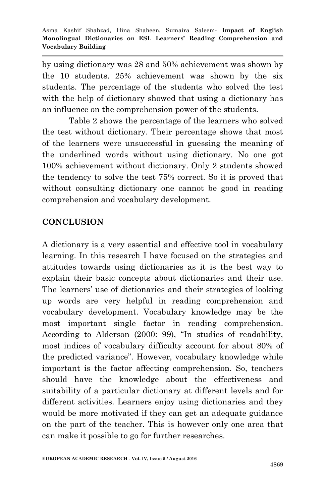by using dictionary was 28 and 50% achievement was shown by the 10 students. 25% achievement was shown by the six students. The percentage of the students who solved the test with the help of dictionary showed that using a dictionary has an influence on the comprehension power of the students.

Table 2 shows the percentage of the learners who solved the test without dictionary. Their percentage shows that most of the learners were unsuccessful in guessing the meaning of the underlined words without using dictionary. No one got 100% achievement without dictionary. Only 2 students showed the tendency to solve the test 75% correct. So it is proved that without consulting dictionary one cannot be good in reading comprehension and vocabulary development.

# **CONCLUSION**

A dictionary is a very essential and effective tool in vocabulary learning. In this research I have focused on the strategies and attitudes towards using dictionaries as it is the best way to explain their basic concepts about dictionaries and their use. The learners' use of dictionaries and their strategies of looking up words are very helpful in reading comprehension and vocabulary development. Vocabulary knowledge may be the most important single factor in reading comprehension. According to Alderson (2000: 99), "In studies of readability, most indices of vocabulary difficulty account for about 80% of the predicted variance". However, vocabulary knowledge while important is the factor affecting comprehension. So, teachers should have the knowledge about the effectiveness and suitability of a particular dictionary at different levels and for different activities. Learners enjoy using dictionaries and they would be more motivated if they can get an adequate guidance on the part of the teacher. This is however only one area that can make it possible to go for further researches.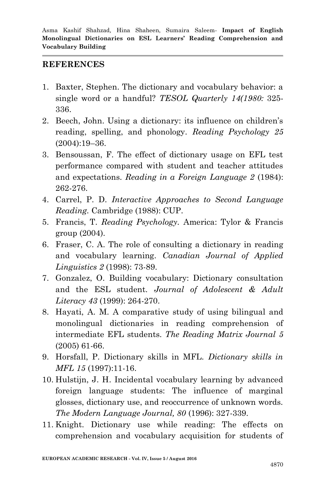#### **REFERENCES**

- 1. Baxter, Stephen. The dictionary and vocabulary behavior: a single word or a handful? *TESOL Quarterly 14(1980:* 325- 336.
- 2. Beech, John. Using a dictionary: its influence on children's reading, spelling, and phonology. *Reading Psychology 25* (2004):19–36.
- 3. Bensoussan, F. The effect of dictionary usage on EFL test performance compared with student and teacher attitudes and expectations. *Reading in a Foreign Language 2* (1984): 262-276.
- 4. Carrel, P. D. *Interactive Approaches to Second Language Reading.* Cambridge (1988): CUP.
- 5. Francis, T. *Reading Psychology.* America: Tylor & Francis group (2004).
- 6. Fraser, C. A. The role of consulting a dictionary in reading and vocabulary learning. *Canadian Journal of Applied Linguistics 2* (1998): 73-89.
- 7. Gonzalez, O. Building vocabulary: Dictionary consultation and the ESL student. *Journal of Adolescent & Adult Literacy 43* (1999): 264-270.
- 8. Hayati, A. M. A comparative study of using bilingual and monolingual dictionaries in reading comprehension of intermediate EFL students. *The Reading Matrix Journal 5* (2005) 61-66.
- 9. Horsfall, P. Dictionary skills in MFL. *Dictionary skills in MFL 15* (1997):11-16.
- 10. Hulstijn, J. H. Incidental vocabulary learning by advanced foreign language students: The influence of marginal glosses, dictionary use, and reoccurrence of unknown words. *The Modern Language Journal, 80* (1996): 327-339.
- 11. Knight. Dictionary use while reading: The effects on comprehension and vocabulary acquisition for students of